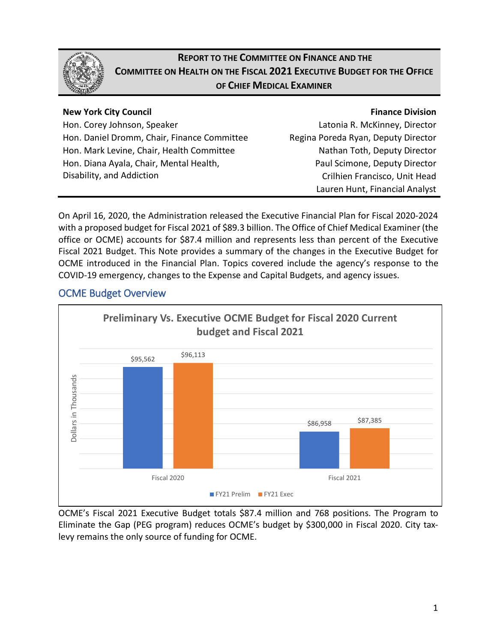

# **REPORT TO THE COMMITTEE ON FINANCE AND THE COMMITTEE ON HEALTH ON THE FISCAL 2021 EXECUTIVE BUDGET FOR THE OFFICE OF CHIEF MEDICAL EXAMINER**

## **New York City Council**

## **Finance Division**

Hon. Corey Johnson, Speaker Hon. Daniel Dromm, Chair, Finance Committee Hon. Mark Levine, Chair, Health Committee Hon. Diana Ayala, Chair, Mental Health, Disability, and Addiction

Latonia R. McKinney, Director Regina Poreda Ryan, Deputy Director Nathan Toth, Deputy Director Paul Scimone, Deputy Director Crilhien Francisco, Unit Head Lauren Hunt, Financial Analyst

On April 16, 2020, the Administration released the Executive Financial Plan for Fiscal 2020-2024 with a proposed budget for Fiscal 2021 of \$89.3 billion. The Office of Chief Medical Examiner (the office or OCME) accounts for \$87.4 million and represents less than percent of the Executive Fiscal 2021 Budget. This Note provides a summary of the changes in the Executive Budget for OCME introduced in the Financial Plan. Topics covered include the agency's response to the COVID-19 emergency, changes to the Expense and Capital Budgets, and agency issues.



# OCME Budget Overview

OCME's Fiscal 2021 Executive Budget totals \$87.4 million and 768 positions. The Program to Eliminate the Gap (PEG program) reduces OCME's budget by \$300,000 in Fiscal 2020. City taxlevy remains the only source of funding for OCME.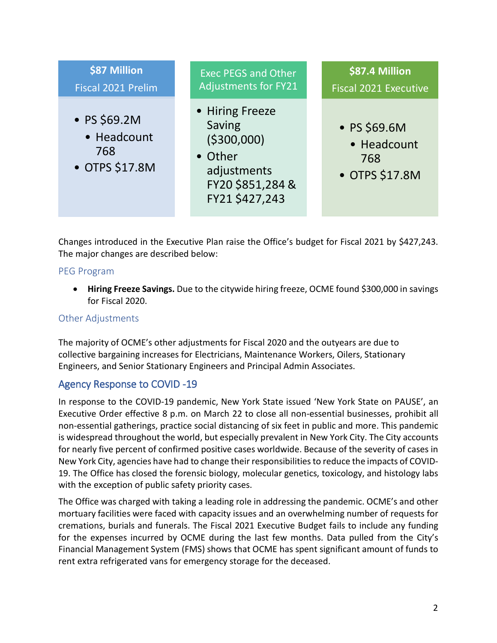

Changes introduced in the Executive Plan raise the Office's budget for Fiscal 2021 by \$427,243. The major changes are described below:

#### PEG Program

• **Hiring Freeze Savings.** Due to the citywide hiring freeze, OCME found \$300,000 in savings for Fiscal 2020.

### Other Adjustments

The majority of OCME's other adjustments for Fiscal 2020 and the outyears are due to collective bargaining increases for Electricians, Maintenance Workers, Oilers, Stationary Engineers, and Senior Stationary Engineers and Principal Admin Associates.

# Agency Response to COVID -19

In response to the COVID-19 pandemic, New York State issued 'New York State on PAUSE', an Executive Order effective 8 p.m. on March 22 to close all non-essential businesses, prohibit all non-essential gatherings, practice social distancing of six feet in public and more. This pandemic is widespread throughout the world, but especially prevalent in New York City. The City accounts for nearly five percent of confirmed positive cases worldwide. Because of the severity of cases in New York City, agencies have had to change their responsibilities to reduce the impacts of COVID-19. The Office has closed the forensic biology, molecular genetics, toxicology, and histology labs with the exception of public safety priority cases.

The Office was charged with taking a leading role in addressing the pandemic. OCME's and other mortuary facilities were faced with capacity issues and an overwhelming number of requests for cremations, burials and funerals. The Fiscal 2021 Executive Budget fails to include any funding for the expenses incurred by OCME during the last few months. Data pulled from the City's Financial Management System (FMS) shows that OCME has spent significant amount of funds to rent extra refrigerated vans for emergency storage for the deceased.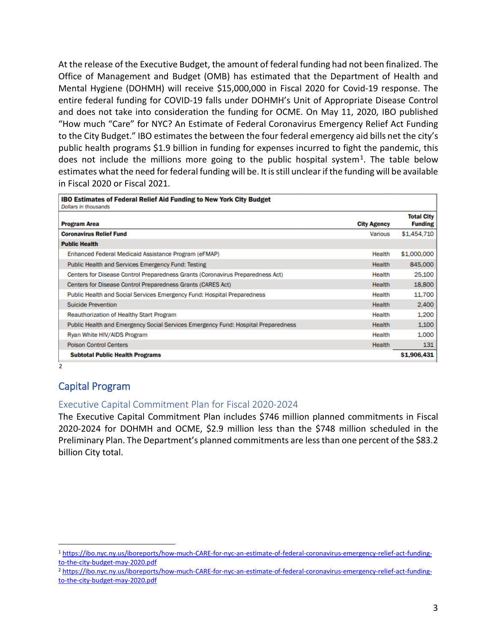At the release of the Executive Budget, the amount of federal funding had not been finalized. The Office of Management and Budget (OMB) has estimated that the Department of Health and Mental Hygiene (DOHMH) will receive \$15,000,000 in Fiscal 2020 for Covid-19 response. The entire federal funding for COVID-19 falls under DOHMH's Unit of Appropriate Disease Control and does not take into consideration the funding for OCME. On May 11, 2020, IBO published "How much "Care" for NYC? An Estimate of Federal Coronavirus Emergency Relief Act Funding to the City Budget." IBO estimates the between the four federal emergency aid bills net the city's public health programs \$1.9 billion in funding for expenses incurred to fight the pandemic, this does not include the millions more going to the public hospital system<sup>1</sup>. The table below estimates what the need for federal funding will be. It is still unclear if the funding will be available in Fiscal 2020 or Fiscal 2021.

| <b>IBO Estimates of Federal Relief Aid Funding to New York City Budget</b><br>Dollars in thousands |                    |                                     |
|----------------------------------------------------------------------------------------------------|--------------------|-------------------------------------|
| <b>Program Area</b>                                                                                | <b>City Agency</b> | <b>Total City</b><br><b>Funding</b> |
| <b>Coronavirus Relief Fund</b>                                                                     | Various            | \$1,454,710                         |
| <b>Public Health</b>                                                                               |                    |                                     |
| Enhanced Federal Medicaid Assistance Program (eFMAP)                                               | Health             | \$1,000,000                         |
| <b>Public Health and Services Emergency Fund: Testing</b>                                          | Health             | 845,000                             |
| Centers for Disease Control Preparedness Grants (Coronavirus Preparedness Act)                     | Health             | 25,100                              |
| Centers for Disease Control Preparedness Grants (CARES Act)                                        | Health             | 18,800                              |
| Public Health and Social Services Emergency Fund: Hospital Preparedness                            | Health             | 11,700                              |
| <b>Suicide Prevention</b>                                                                          | Health             | 2,400                               |
| Reauthorization of Healthy Start Program                                                           | Health             | 1,200                               |
| Public Health and Emergency Social Services Emergency Fund: Hospital Preparedness                  | Health             | 1,100                               |
| Ryan White HIV/AIDS Program                                                                        | Health             | 1,000                               |
| <b>Poison Control Centers</b>                                                                      | Health             | 131                                 |
| <b>Subtotal Public Health Programs</b>                                                             |                    | \$1,906,431                         |
| 2                                                                                                  |                    |                                     |

# Capital Program

 $\overline{a}$ 

#### Executive Capital Commitment Plan for Fiscal 2020-2024

The Executive Capital Commitment Plan includes \$746 million planned commitments in Fiscal 2020-2024 for DOHMH and OCME, \$2.9 million less than the \$748 million scheduled in the Preliminary Plan. The Department's planned commitments are less than one percent of the \$83.2 billion City total.

<span id="page-2-0"></span><sup>1</sup> [https://ibo.nyc.ny.us/iboreports/how-much-CARE-for-nyc-an-estimate-of-federal-coronavirus-emergency-relief-act-funding](https://ibo.nyc.ny.us/iboreports/how-much-CARE-for-nyc-an-estimate-of-federal-coronavirus-emergency-relief-act-funding-to-the-city-budget-may-2020.pdf)[to-the-city-budget-may-2020.pdf](https://ibo.nyc.ny.us/iboreports/how-much-CARE-for-nyc-an-estimate-of-federal-coronavirus-emergency-relief-act-funding-to-the-city-budget-may-2020.pdf)

<span id="page-2-1"></span><sup>2</sup> [https://ibo.nyc.ny.us/iboreports/how-much-CARE-for-nyc-an-estimate-of-federal-coronavirus-emergency-relief-act-funding](https://ibo.nyc.ny.us/iboreports/how-much-CARE-for-nyc-an-estimate-of-federal-coronavirus-emergency-relief-act-funding-to-the-city-budget-may-2020.pdf)[to-the-city-budget-may-2020.pdf](https://ibo.nyc.ny.us/iboreports/how-much-CARE-for-nyc-an-estimate-of-federal-coronavirus-emergency-relief-act-funding-to-the-city-budget-may-2020.pdf)